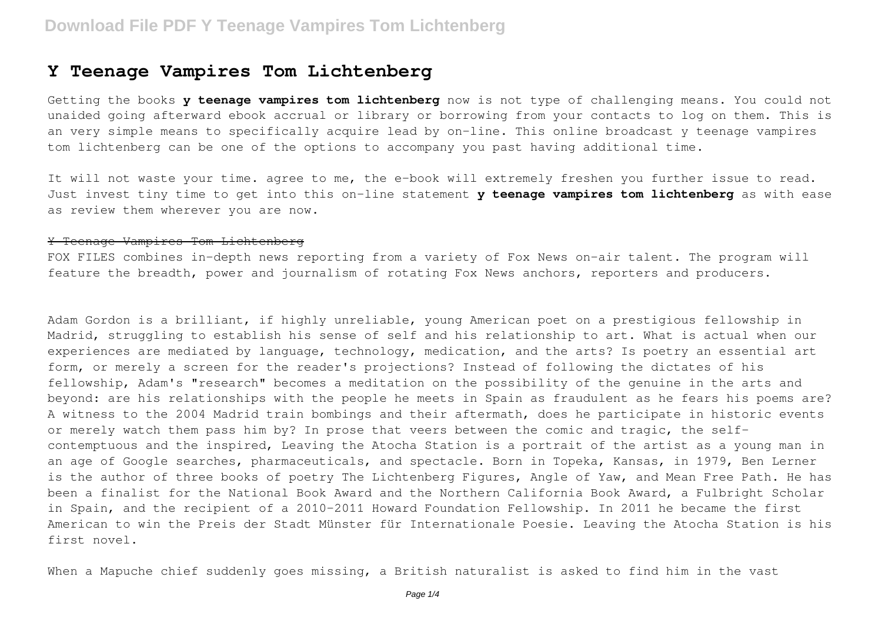#### **Y Teenage Vampires Tom Lichtenberg**

Getting the books **y teenage vampires tom lichtenberg** now is not type of challenging means. You could not unaided going afterward ebook accrual or library or borrowing from your contacts to log on them. This is an very simple means to specifically acquire lead by on-line. This online broadcast y teenage vampires tom lichtenberg can be one of the options to accompany you past having additional time.

It will not waste your time. agree to me, the e-book will extremely freshen you further issue to read. Just invest tiny time to get into this on-line statement **y teenage vampires tom lichtenberg** as with ease as review them wherever you are now.

#### Y Teenage Vampires Tom Lichtenberg

FOX FILES combines in-depth news reporting from a variety of Fox News on-air talent. The program will feature the breadth, power and journalism of rotating Fox News anchors, reporters and producers.

Adam Gordon is a brilliant, if highly unreliable, young American poet on a prestigious fellowship in Madrid, struggling to establish his sense of self and his relationship to art. What is actual when our experiences are mediated by language, technology, medication, and the arts? Is poetry an essential art form, or merely a screen for the reader's projections? Instead of following the dictates of his fellowship, Adam's "research" becomes a meditation on the possibility of the genuine in the arts and beyond: are his relationships with the people he meets in Spain as fraudulent as he fears his poems are? A witness to the 2004 Madrid train bombings and their aftermath, does he participate in historic events or merely watch them pass him by? In prose that veers between the comic and tragic, the selfcontemptuous and the inspired, Leaving the Atocha Station is a portrait of the artist as a young man in an age of Google searches, pharmaceuticals, and spectacle. Born in Topeka, Kansas, in 1979, Ben Lerner is the author of three books of poetry The Lichtenberg Figures, Angle of Yaw, and Mean Free Path. He has been a finalist for the National Book Award and the Northern California Book Award, a Fulbright Scholar in Spain, and the recipient of a 2010-2011 Howard Foundation Fellowship. In 2011 he became the first American to win the Preis der Stadt Münster für Internationale Poesie. Leaving the Atocha Station is his first novel.

When a Mapuche chief suddenly goes missing, a British naturalist is asked to find him in the vast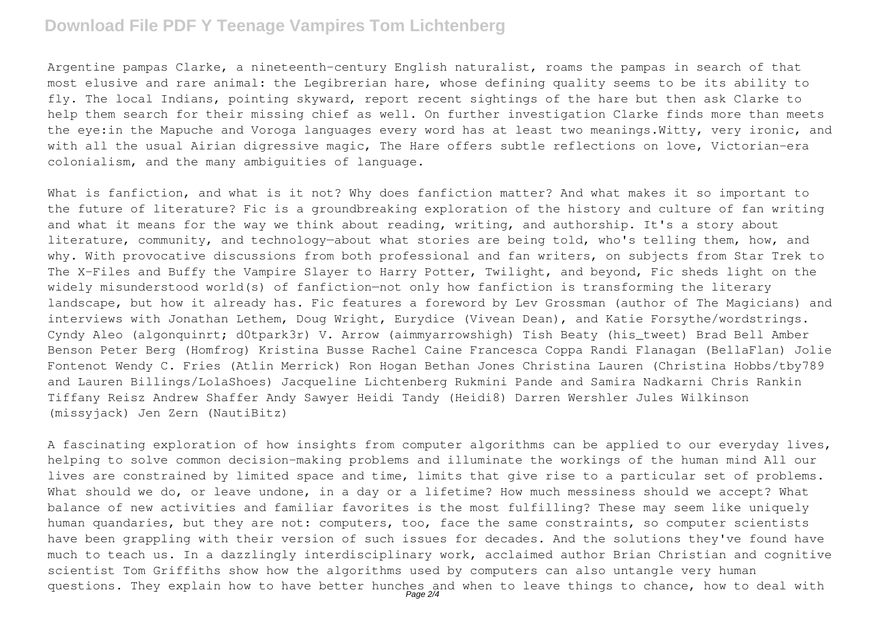## **Download File PDF Y Teenage Vampires Tom Lichtenberg**

Argentine pampas Clarke, a nineteenth-century English naturalist, roams the pampas in search of that most elusive and rare animal: the Legibrerian hare, whose defining quality seems to be its ability to fly. The local Indians, pointing skyward, report recent sightings of the hare but then ask Clarke to help them search for their missing chief as well. On further investigation Clarke finds more than meets the eye:in the Mapuche and Voroga languages every word has at least two meanings.Witty, very ironic, and with all the usual Airian digressive magic, The Hare offers subtle reflections on love, Victorian-era colonialism, and the many ambiguities of language.

What is fanfiction, and what is it not? Why does fanfiction matter? And what makes it so important to the future of literature? Fic is a groundbreaking exploration of the history and culture of fan writing and what it means for the way we think about reading, writing, and authorship. It's a story about literature, community, and technology—about what stories are being told, who's telling them, how, and why. With provocative discussions from both professional and fan writers, on subjects from Star Trek to The X-Files and Buffy the Vampire Slayer to Harry Potter, Twilight, and beyond, Fic sheds light on the widely misunderstood world(s) of fanfiction—not only how fanfiction is transforming the literary landscape, but how it already has. Fic features a foreword by Lev Grossman (author of The Magicians) and interviews with Jonathan Lethem, Doug Wright, Eurydice (Vivean Dean), and Katie Forsythe/wordstrings. Cyndy Aleo (algonquinrt; d0tpark3r) V. Arrow (aimmyarrowshigh) Tish Beaty (his\_tweet) Brad Bell Amber Benson Peter Berg (Homfrog) Kristina Busse Rachel Caine Francesca Coppa Randi Flanagan (BellaFlan) Jolie Fontenot Wendy C. Fries (Atlin Merrick) Ron Hogan Bethan Jones Christina Lauren (Christina Hobbs/tby789 and Lauren Billings/LolaShoes) Jacqueline Lichtenberg Rukmini Pande and Samira Nadkarni Chris Rankin Tiffany Reisz Andrew Shaffer Andy Sawyer Heidi Tandy (Heidi8) Darren Wershler Jules Wilkinson (missyjack) Jen Zern (NautiBitz)

A fascinating exploration of how insights from computer algorithms can be applied to our everyday lives, helping to solve common decision-making problems and illuminate the workings of the human mind All our lives are constrained by limited space and time, limits that give rise to a particular set of problems. What should we do, or leave undone, in a day or a lifetime? How much messiness should we accept? What balance of new activities and familiar favorites is the most fulfilling? These may seem like uniquely human quandaries, but they are not: computers, too, face the same constraints, so computer scientists have been grappling with their version of such issues for decades. And the solutions they've found have much to teach us. In a dazzlingly interdisciplinary work, acclaimed author Brian Christian and cognitive scientist Tom Griffiths show how the algorithms used by computers can also untangle very human questions. They explain how to have better hunches and when to leave things to chance, how to deal with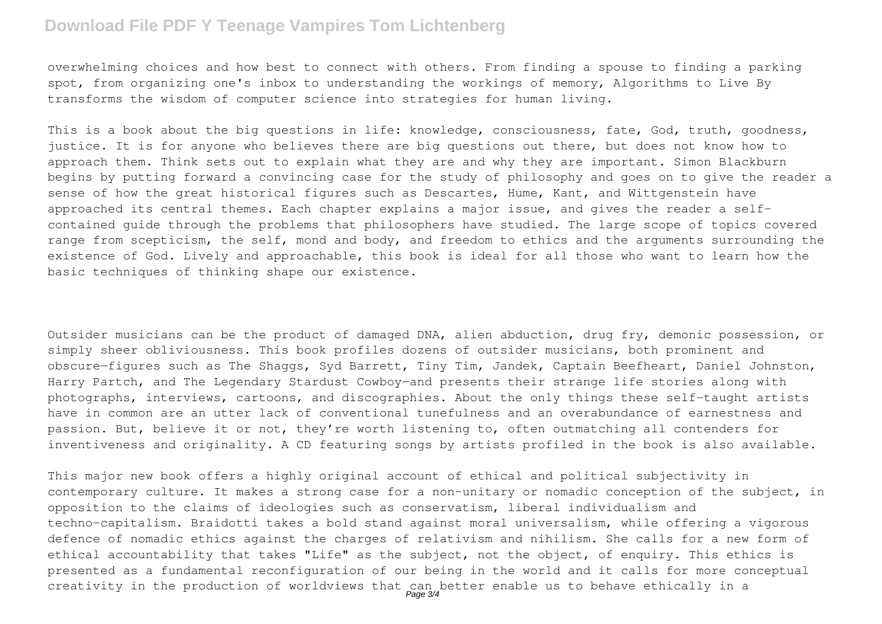## **Download File PDF Y Teenage Vampires Tom Lichtenberg**

overwhelming choices and how best to connect with others. From finding a spouse to finding a parking spot, from organizing one's inbox to understanding the workings of memory, Algorithms to Live By transforms the wisdom of computer science into strategies for human living.

This is a book about the big questions in life: knowledge, consciousness, fate, God, truth, goodness, justice. It is for anyone who believes there are big questions out there, but does not know how to approach them. Think sets out to explain what they are and why they are important. Simon Blackburn begins by putting forward a convincing case for the study of philosophy and goes on to give the reader a sense of how the great historical figures such as Descartes, Hume, Kant, and Wittgenstein have approached its central themes. Each chapter explains a major issue, and gives the reader a selfcontained guide through the problems that philosophers have studied. The large scope of topics covered range from scepticism, the self, mond and body, and freedom to ethics and the arguments surrounding the existence of God. Lively and approachable, this book is ideal for all those who want to learn how the basic techniques of thinking shape our existence.

Outsider musicians can be the product of damaged DNA, alien abduction, drug fry, demonic possession, or simply sheer obliviousness. This book profiles dozens of outsider musicians, both prominent and obscure—figures such as The Shaggs, Syd Barrett, Tiny Tim, Jandek, Captain Beefheart, Daniel Johnston, Harry Partch, and The Legendary Stardust Cowboy—and presents their strange life stories along with photographs, interviews, cartoons, and discographies. About the only things these self-taught artists have in common are an utter lack of conventional tunefulness and an overabundance of earnestness and passion. But, believe it or not, they're worth listening to, often outmatching all contenders for inventiveness and originality. A CD featuring songs by artists profiled in the book is also available.

This major new book offers a highly original account of ethical and political subjectivity in contemporary culture. It makes a strong case for a non–unitary or nomadic conception of the subject, in opposition to the claims of ideologies such as conservatism, liberal individualism and techno–capitalism. Braidotti takes a bold stand against moral universalism, while offering a vigorous defence of nomadic ethics against the charges of relativism and nihilism. She calls for a new form of ethical accountability that takes "Life" as the subject, not the object, of enquiry. This ethics is presented as a fundamental reconfiguration of our being in the world and it calls for more conceptual creativity in the production of worldviews that can better enable us to behave ethically in a